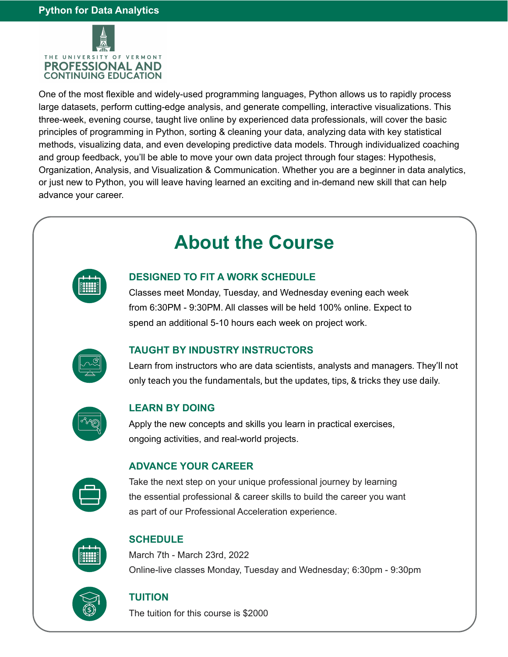

One of the most flexible and widely-used programming languages, Python allows us to rapidly process large datasets, perform cutting-edge analysis, and generate compelling, interactive visualizations. This three-week, evening course, taught live online by experienced data professionals, will cover the basic principles of programming in Python, sorting & cleaning your data, analyzing data with key statistical methods, visualizing data, and even developing predictive data models. Through individualized coaching and group feedback, you'll be able to move your own data project through four stages: Hypothesis, Organization, Analysis, and Visualization & Communication. Whether you are a beginner in data analytics, or just new to Python, you will leave having learned an exciting and in-demand new skill that can help advance your career.

# **About the Course**



## **DESIGNED TO FIT A WORK SCHEDULE**

Classes meet Monday, Tuesday, and Wednesday evening each week from 6:30PM - 9:30PM. All classes will be held 100% online. Expect to spend an additional 5-10 hours each week on project work.



## **TAUGHT BY INDUSTRY INSTRUCTORS**

Learn from instructors who are data scientists, analysts and managers. They'll not only teach you the fundamentals, but the updates, tips, & tricks they use daily.



#### **LEARN BY DOING**

Apply the new concepts and skills you learn in practical exercises, ongoing activities, and real-world projects.



#### **ADVANCE YOUR CAREER**

Take the next step on your unique professional journey by learning the essential professional & career skills to build the career you want as part of our Professional Acceleration experience.



## **SCHEDULE**

March 7th - March 23rd, 2022 Online-live classes Monday, Tuesday and Wednesday; 6:30pm - 9:30pm



#### **TUITION**

The tuition for this course is \$2000